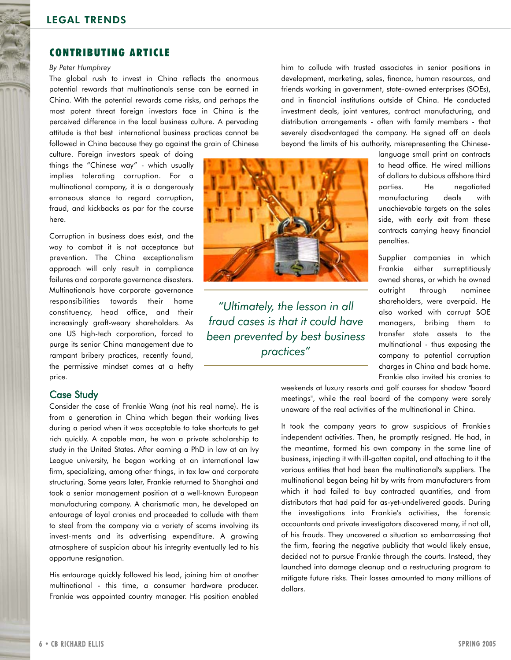# LEGAL TRENDS

## CONTRIBUTING ARTICLE

#### *By Peter Humphrey*

The global rush to invest in China reflects the enormous potential rewards that multinationals sense can be earned in China. With the potential rewards come risks, and perhaps the most potent threat foreign investors face in China is the perceived difference in the local business culture. A pervading attitude is that best international business practices cannot be followed in China because they go against the grain of Chinese

culture. Foreign investors speak of doing things the "Chinese way" - which usually implies tolerating corruption. For a multinational company, it is a dangerously erroneous stance to regard corruption, fraud, and kickbacks as par for the course here.

Corruption in business does exist, and the way to combat it is not acceptance but prevention. The China exceptionalism approach will only result in compliance failures and corporate governance disasters. Multinationals have corporate governance responsibilities towards their home constituency, head office, and their increasingly graft-weary shareholders. As one US high-tech corporation, forced to purge its senior China management due to rampant bribery practices, recently found, the permissive mindset comes at a hefty price.

## Case Study

Consider the case of Frankie Wang (not his real name). He is from a generation in China which began their working lives during a period when it was acceptable to take shortcuts to get rich quickly. A capable man, he won a private scholarship to study in the United States. After earning a PhD in law at an Ivy League university, he began working at an international law firm, specializing, among other things, in tax law and corporate structuring. Some years later, Frankie returned to Shanghai and took a senior management position at a well-known European manufacturing company. A charismatic man, he developed an entourage of loyal cronies and proceeded to collude with them to steal from the company via a variety of scams involving its invest-ments and its advertising expenditure. A growing atmosphere of suspicion about his integrity eventually led to his opportune resignation.

His entourage quickly followed his lead, joining him at another multinational - this time, a consumer hardware producer. Frankie was appointed country manager. His position enabled

him to collude with trusted associates in senior positions in development, marketing, sales, finance, human resources, and friends working in government, state-owned enterprises (SOEs), and in financial institutions outside of China. He conducted investment deals, joint ventures, contract manufacturing, and distribution arrangements - often with family members - that severely disadvantaged the company. He signed off on deals beyond the limits of his authority, misrepresenting the Chinese-

*"Ultimately, the lesson in all fraud cases is that it could have been prevented by best business practices"*

language small print on contracts to head office. He wired millions of dollars to dubious offshore third parties. He negotiated manufacturing deals with unachievable targets on the sales side, with early exit from these contracts carrying heavy financial penalties.

Supplier companies in which Frankie either surreptitiously owned shares, or which he owned outright through nominee shareholders, were overpaid. He also worked with corrupt SOE managers, bribing them to transfer state assets to the multinational - thus exposing the company to potential corruption charges in China and back home. Frankie also invited his cronies to

weekends at luxury resorts and golf courses for shadow "board meetings", while the real board of the company were sorely unaware of the real activities of the multinational in China.

It took the company years to grow suspicious of Frankie's independent activities. Then, he promptly resigned. He had, in the meantime, formed his own company in the same line of business, injecting it with ill-gotten capital, and attaching to it the various entities that had been the multinational's suppliers. The multinational began being hit by writs from manufacturers from which it had failed to buy contracted quantities, and from distributors that had paid for as-yet-undelivered goods. During the investigations into Frankie's activities, the forensic accountants and private investigators discovered many, if not all, of his frauds. They uncovered a situation so embarrassing that the firm, fearing the negative publicity that would likely ensue, decided not to pursue Frankie through the courts. Instead, they launched into damage cleanup and a restructuring program to mitigate future risks. Their losses amounted to many millions of dollars.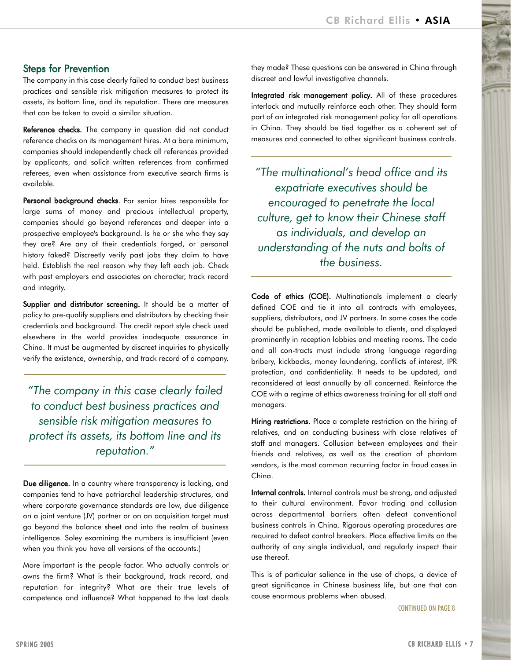# Steps for Prevention

The company in this case clearly failed to conduct best business practices and sensible risk mitigation measures to protect its assets, its bottom line, and its reputation. There are measures that can be taken to avoid a similar situation.

Reference checks. The company in question did not conduct reference checks on its management hires. At a bare minimum, companies should independently check all references provided by applicants, and solicit written references from confirmed referees, even when assistance from executive search firms is available.

Personal background checks. For senior hires responsible for large sums of money and precious intellectual property, companies should go beyond references and deeper into a prospective employee's background. Is he or she who they say they are? Are any of their credentials forged, or personal history faked? Discreetly verify past jobs they claim to have held. Establish the real reason why they left each job. Check with past employers and associates on character, track record and integrity.

Supplier and distributor screening. It should be a matter of policy to pre-qualify suppliers and distributors by checking their credentials and background. The credit report style check used elsewhere in the world provides inadequate assurance in China. It must be augmented by discreet inquiries to physically verify the existence, ownership, and track record of a company.

*"The company in this case clearly failed to conduct best business practices and sensible risk mitigation measures to protect its assets, its bottom line and its reputation."*

Due diligence. In a country where transparency is lacking, and companies tend to have patriarchal leadership structures, and where corporate governance standards are low, due diligence on a joint venture (JV) partner or on an acquisition target must go beyond the balance sheet and into the realm of business intelligence. Soley examining the numbers is insufficient (even when you think you have all versions of the accounts.)

More important is the people factor. Who actually controls or owns the firm? What is their background, track record, and reputation for integrity? What are their true levels of competence and influence? What happened to the last deals they made? These questions can be answered in China through discreet and lawful investigative channels.

Integrated risk management policy. All of these procedures interlock and mutually reinforce each other. They should form part of an integrated risk management policy for all operations in China. They should be tied together as a coherent set of measures and connected to other significant business controls.

*"The multinational's head office and its expatriate executives should be encouraged to penetrate the local culture, get to know their Chinese staff as individuals, and develop an understanding of the nuts and bolts of the business.*

Code of ethics (COE). Multinationals implement a clearly defined COE and tie it into all contracts with employees, suppliers, distributors, and JV partners. In some cases the code should be published, made available to clients, and displayed prominently in reception lobbies and meeting rooms. The code and all con-tracts must include strong language regarding bribery, kickbacks, money laundering, conflicts of interest, IPR protection, and confidentiality. It needs to be updated, and reconsidered at least annually by all concerned. Reinforce the COE with a regime of ethics awareness training for all staff and managers.

Hiring restrictions. Place a complete restriction on the hiring of relatives, and on conducting business with close relatives of staff and managers. Collusion between employees and their friends and relatives, as well as the creation of phantom vendors, is the most common recurring factor in fraud cases in China.

Internal controls. Internal controls must be strong, and adjusted to their cultural environment. Favor trading and collusion across departmental barriers often defeat conventional business controls in China. Rigorous operating procedures are required to defeat control breakers. Place effective limits on the authority of any single individual, and regularly inspect their use thereof.

This is of particular salience in the use of chops, a device of great significance in Chinese business life, but one that can cause enormous problems when abused.

CONTINUED ON PAGE 8